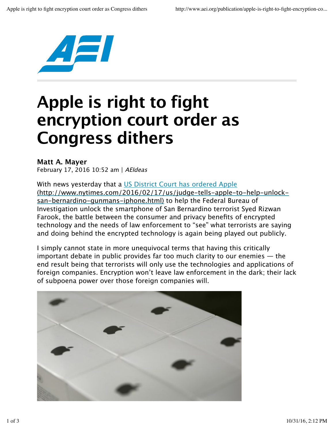

## **Apple is right to fight encryption court order as Congress dithers**

## **Matt A. Mayer**

February 17, 2016 10:52 am | AEIdeas

With news yesterday that a US District Court has ordered Apple (http://www.nytimes.com/2016/02/17/us/judge-tells-apple-to-help-unlocksan-bernardino-gunmans-iphone.html) to help the Federal Bureau of Investigation unlock the smartphone of San Bernardino terrorist Syed Rizwan Farook, the battle between the consumer and privacy benefits of encrypted technology and the needs of law enforcement to "see" what terrorists are saying and doing behind the encrypted technology is again being played out publicly.

I simply cannot state in more unequivocal terms that having this critically important debate in public provides far too much clarity to our enemies  $-$  the end result being that terrorists will only use the technologies and applications of foreign companies. Encryption won't leave law enforcement in the dark; their lack of subpoena power over those foreign companies will.

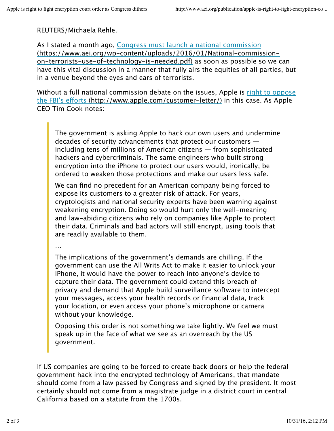REUTERS/Michaela Rehle.

As I stated a month ago, Congress must launch a national commission (https://www.aei.org/wp-content/uploads/2016/01/National-commissionon-terrorists-use-of-technology-is-needed.pdf) as soon as possible so we can have this vital discussion in a manner that fully airs the equities of all parties, but in a venue beyond the eyes and ears of terrorists.

Without a full national commission debate on the issues, Apple is right to oppose the FBI's eforts (http://www.apple.com/customer-letter/) in this case. As Apple CEO Tim Cook notes:

The government is asking Apple to hack our own users and undermine decades of security advancements that protect our customers including tens of millions of American citizens — from sophisticated hackers and cybercriminals. The same engineers who built strong encryption into the iPhone to protect our users would, ironically, be ordered to weaken those protections and make our users less safe.

We can find no precedent for an American company being forced to expose its customers to a greater risk of attack. For years, cryptologists and national security experts have been warning against weakening encryption. Doing so would hurt only the well-meaning and law-abiding citizens who rely on companies like Apple to protect their data. Criminals and bad actors will still encrypt, using tools that are readily available to them.

…

The implications of the government's demands are chilling. If the government can use the All Writs Act to make it easier to unlock your iPhone, it would have the power to reach into anyone's device to capture their data. The government could extend this breach of privacy and demand that Apple build surveillance software to intercept your messages, access your health records or financial data, track your location, or even access your phone's microphone or camera without your knowledge.

Opposing this order is not something we take lightly. We feel we must speak up in the face of what we see as an overreach by the US government.

If US companies are going to be forced to create back doors or help the federal government hack into the encrypted technology of Americans, that mandate should come from a law passed by Congress and signed by the president. It most certainly should not come from a magistrate judge in a district court in central California based on a statute from the 1700s.